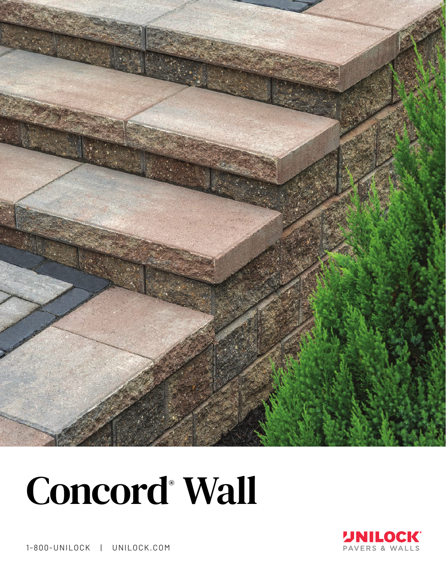

## Concord<sup>®</sup> Wall



1-800-UNILOCK | UNILOCK.COM